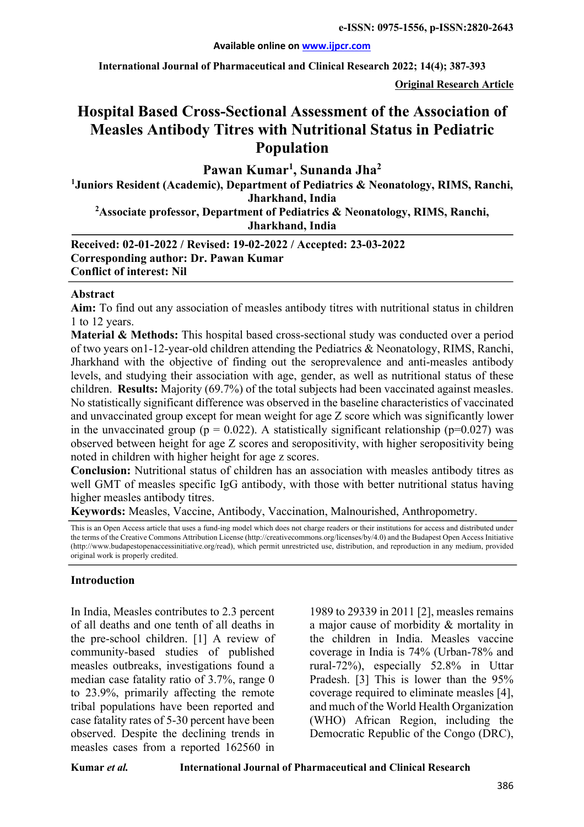#### **Available online on www.ijpcr.com**

**International Journal of Pharmaceutical and Clinical Research 2022; 14(4); 387-393**

**Original Research Article**

# **Hospital Based Cross-Sectional Assessment of the Association of Measles Antibody Titres with Nutritional Status in Pediatric Population**

**Pawan Kumar1 , Sunanda Jha2**

**1 Juniors Resident (Academic), Department of Pediatrics & Neonatology, RIMS, Ranchi, Jharkhand, India 2 Associate professor, Department of Pediatrics & Neonatology, RIMS, Ranchi,** 

**Jharkhand, India**

**Received: 02-01-2022 / Revised: 19-02-2022 / Accepted: 23-03-2022 Corresponding author: Dr. Pawan Kumar Conflict of interest: Nil**

#### **Abstract**

**Aim:** To find out any association of measles antibody titres with nutritional status in children 1 to 12 years.

**Material & Methods:** This hospital based cross-sectional study was conducted over a period of two years on1-12-year-old children attending the Pediatrics & Neonatology, RIMS, Ranchi, Jharkhand with the objective of finding out the seroprevalence and anti-measles antibody levels, and studying their association with age, gender, as well as nutritional status of these children. **Results:** Majority (69.7%) of the total subjects had been vaccinated against measles. No statistically significant difference was observed in the baseline characteristics of vaccinated and unvaccinated group except for mean weight for age Z score which was significantly lower in the unvaccinated group ( $p = 0.022$ ). A statistically significant relationship ( $p=0.027$ ) was observed between height for age Z scores and seropositivity, with higher seropositivity being noted in children with higher height for age z scores.

**Conclusion:** Nutritional status of children has an association with measles antibody titres as well GMT of measles specific IgG antibody, with those with better nutritional status having higher measles antibody titres.

**Keywords:** Measles, Vaccine, Antibody, Vaccination, Malnourished, Anthropometry.

This is an Open Access article that uses a fund-ing model which does not charge readers or their institutions for access and distributed under the terms of the Creative Commons Attribution License (http://creativecommons.org/licenses/by/4.0) and the Budapest Open Access Initiative (http://www.budapestopenaccessinitiative.org/read), which permit unrestricted use, distribution, and reproduction in any medium, provided original work is properly credited.

#### **Introduction**

In India, Measles contributes to 2.3 percent of all deaths and one tenth of all deaths in the pre-school children. [1] A review of community-based studies of published measles outbreaks, investigations found a median case fatality ratio of 3.7%, range 0 to 23.9%, primarily affecting the remote tribal populations have been reported and case fatality rates of 5-30 percent have been observed. Despite the declining trends in measles cases from a reported 162560 in

1989 to 29339 in 2011 [2], measles remains a major cause of morbidity & mortality in the children in India. Measles vaccine coverage in India is 74% (Urban-78% and rural-72%), especially 52.8% in Uttar Pradesh. [3] This is lower than the 95% coverage required to eliminate measles [4], and much of the World Health Organization (WHO) African Region, including the Democratic Republic of the Congo (DRC),

**Kumar** *et al.* **International Journal of Pharmaceutical and Clinical Research**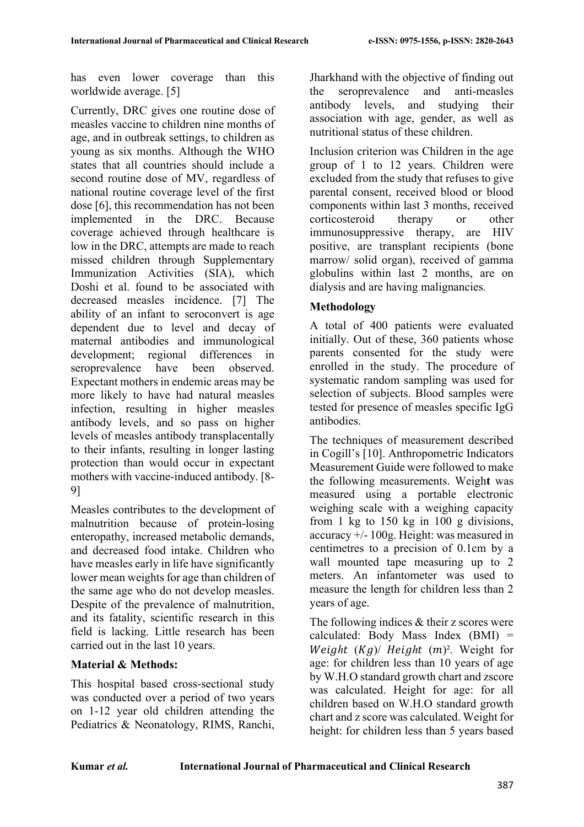has even lower coverage than this worldwide average. [5]

Currently, DRC gives one routine dose of measles vaccine to children nine months of age, and in outbreak settings, to children as young as six months. Although the WHO states that all countries should include a second routine dose of MV, regardless of national routine coverage level of the first dose [6], this recommendation has not been implemented in the DRC. Because coverage achieved through healthcare is low in the DRC, attempts are made to reach missed children through Supplementary Immunization Activities (SIA), which Doshi et al. found to be associated with decreased measles incidence. [7] The ability of an infant to seroconvert is age dependent due to level and decay of maternal antibodies and immunological development; regional differences in seroprevalence have been observed. Expectant mothers in endemic areas may be more likely to have had natural measles infection, resulting in higher measles antibody levels, and so pass on higher levels of measles antibody transplacentally to their infants, resulting in longer lasting protection than would occur in expectant mothers with vaccine-induced antibody. [8- 9]

Measles contributes to the development of malnutrition because of protein-losing enteropathy, increased metabolic demands, and decreased food intake. Children who have measles early in life have significantly lower mean weights for age than children of the same age who do not develop measles. Despite of the prevalence of malnutrition, and its fatality, scientific research in this field is lacking. Little research has been carried out in the last 10 years.

# **Material & Methods:**

This hospital based cross-sectional study was conducted over a period of two years on 1-12 year old children attending the Pediatrics & Neonatology, RIMS, Ranchi, Jharkhand with the objective of finding out the seroprevalence and anti-measles antibody levels, and studying their association with age, gender, as well as nutritional status of these children.

Inclusion criterion was Children in the age group of 1 to 12 years. Children were excluded from the study that refuses to give parental consent, received blood or blood components within last 3 months, received corticosteroid therapy or other immunosuppressive therapy, are HIV positive, are transplant recipients (bone marrow/ solid organ), received of gamma globulins within last 2 months, are on dialysis and are having malignancies.

# **Methodology**

A total of 400 patients were evaluated initially. Out of these, 360 patients whose parents consented for the study were enrolled in the study. The procedure of systematic random sampling was used for selection of subjects. Blood samples were tested for presence of measles specific IgG antibodies.

The techniques of measurement described in Cogill's [10]. Anthropometric Indicators Measurement Guide were followed to make the following measurements. Weigh**t** was measured using a portable electronic weighing scale with a weighing capacity from 1 kg to 150 kg in 100 g divisions, accuracy +/- 100g. Height: was measured in centimetres to a precision of 0.1cm by a wall mounted tape measuring up to 2 meters. An infantometer was used to measure the length for children less than 2 years of age.

The following indices & their z scores were calculated: Body Mass Index (BMI) = Weight  $(Kg)$  Height  $(m)^2$ . Weight for age: for children less than 10 years of age by W.H.O standard growth chart and zscore was calculated. Height for age: for all children based on W.H.O standard growth chart and z score was calculated. Weight for height: for children less than 5 years based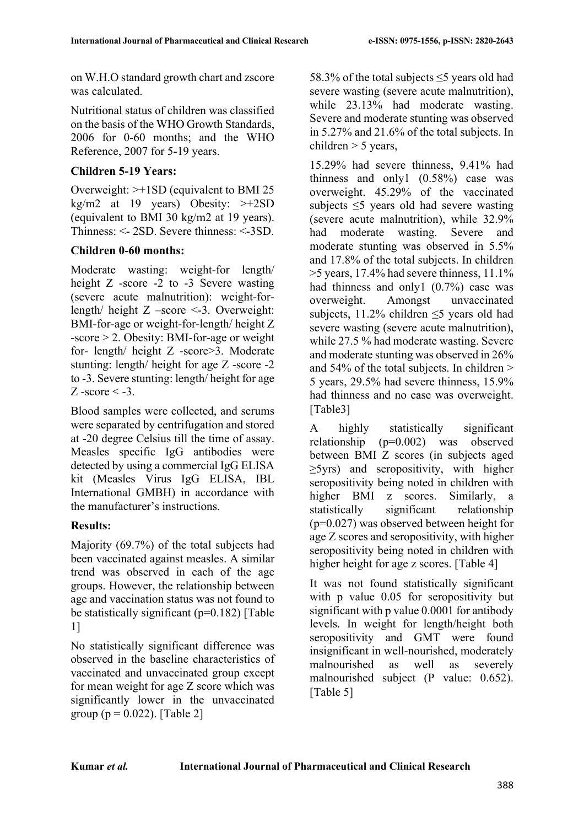on W.H.O standard growth chart and zscore was calculated.

Nutritional status of children was classified on the basis of the WHO Growth Standards, 2006 for 0-60 months; and the WHO Reference, 2007 for 5-19 years.

### **Children 5-19 Years:**

Overweight: >+1SD (equivalent to BMI 25 kg/m2 at 19 years) Obesity:  $>>12SD$ (equivalent to BMI 30 kg/m2 at 19 years). Thinness: <- 2SD. Severe thinness: <-3SD.

### **Children 0-60 months:**

Moderate wasting: weight-for length/ height Z -score -2 to -3 Severe wasting (severe acute malnutrition): weight-forlength/ height Z –score <-3. Overweight: BMI-for-age or weight-for-length/ height Z -score > 2. Obesity: BMI-for-age or weight for- length/ height Z -score>3. Moderate stunting: length/ height for age Z -score -2 to -3. Severe stunting: length/ height for age  $Z$  -score  $\leq$  -3.

Blood samples were collected, and serums were separated by centrifugation and stored at -20 degree Celsius till the time of assay. Measles specific IgG antibodies were detected by using a commercial IgG ELISA kit (Measles Virus IgG ELISA, IBL International GMBH) in accordance with the manufacturer's instructions.

# **Results:**

Majority (69.7%) of the total subjects had been vaccinated against measles. A similar trend was observed in each of the age groups. However, the relationship between age and vaccination status was not found to be statistically significant ( $p=0.182$ ) [Table 1]

No statistically significant difference was observed in the baseline characteristics of vaccinated and unvaccinated group except for mean weight for age Z score which was significantly lower in the unvaccinated group ( $p = 0.022$ ). [Table 2]

58.3% of the total subjects  $\leq$ 5 years old had severe wasting (severe acute malnutrition), while 23.13% had moderate wasting. Severe and moderate stunting was observed in 5.27% and 21.6% of the total subjects. In children  $> 5$  years,

15.29% had severe thinness, 9.41% had thinness and only1 (0.58%) case was overweight. 45.29% of the vaccinated subjects ≤5 years old had severe wasting (severe acute malnutrition), while 32.9% had moderate wasting. Severe and moderate stunting was observed in 5.5% and 17.8% of the total subjects. In children >5 years, 17.4% had severe thinness, 11.1% had thinness and only1 (0.7%) case was overweight. Amongst unvaccinated subjects, 11.2% children  $\leq$ 5 years old had severe wasting (severe acute malnutrition), while 27.5 % had moderate wasting. Severe and moderate stunting was observed in 26% and 54% of the total subjects. In children > 5 years, 29.5% had severe thinness, 15.9% had thinness and no case was overweight. [Table3]

A highly statistically significant relationship (p=0.002) was observed between BMI Z scores (in subjects aged ≥5yrs) and seropositivity, with higher seropositivity being noted in children with higher BMI z scores. Similarly, a statistically significant relationship (p=0.027) was observed between height for age Z scores and seropositivity, with higher seropositivity being noted in children with higher height for age z scores. [Table 4]

It was not found statistically significant with p value  $0.05$  for seropositivity but significant with p value 0.0001 for antibody levels. In weight for length/height both seropositivity and GMT were found insignificant in well-nourished, moderately malnourished as well as severely malnourished subject (P value: 0.652). [Table 5]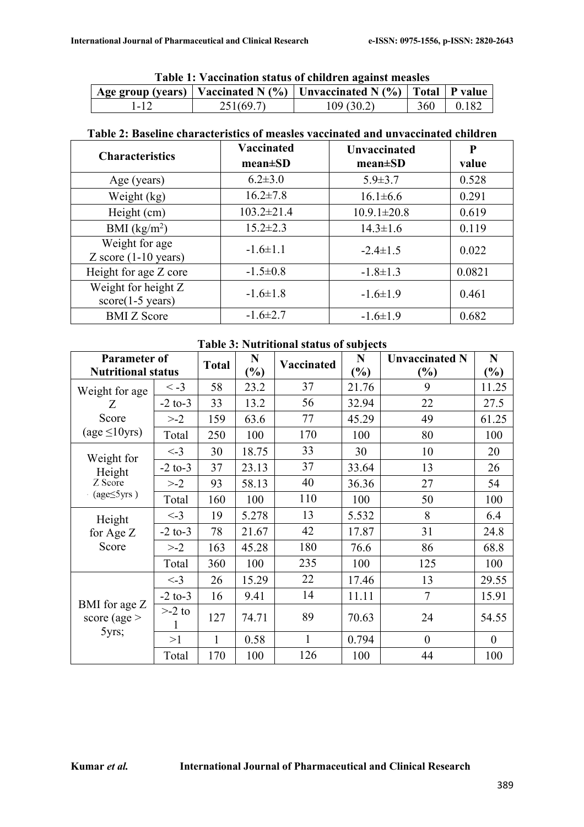| Table 1: Vaccination status of children against measles |  |  |
|---------------------------------------------------------|--|--|
|                                                         |  |  |

| Tuote 11 + accimation status of chilui en against measies |           |                                                                                     |     |       |  |  |  |  |
|-----------------------------------------------------------|-----------|-------------------------------------------------------------------------------------|-----|-------|--|--|--|--|
|                                                           |           | $\perp$ Age group (years)   Vaccinated N (%)   Unvaccinated N (%)   Total   P value |     |       |  |  |  |  |
|                                                           | 251(69.7) | 109(30.2)                                                                           | 360 | 0.182 |  |  |  |  |

### **Table 2: Baseline characteristics of measles vaccinated and unvaccinated children**

| <b>Characteristics</b>                            | Vaccinated<br>$mean \pm SD$ | <b>Unvaccinated</b><br>$mean \pm SD$ | P<br>value |
|---------------------------------------------------|-----------------------------|--------------------------------------|------------|
| Age (years)                                       | $6.2 \pm 3.0$               | $5.9 \pm 3.7$                        | 0.528      |
| Weight (kg)                                       | $16.2 \pm 7.8$              | $16.1 \pm 6.6$                       | 0.291      |
| Height (cm)                                       | $103.2 \pm 21.4$            | $10.9.1 \pm 20.8$                    | 0.619      |
| BMI $(kg/m2)$                                     | $15.2 \pm 2.3$              | $14.3 \pm 1.6$                       | 0.119      |
| Weight for age<br>$Z$ score $(1-10$ years)        | $-1.6 \pm 1.1$              | $-2.4 \pm 1.5$                       | 0.022      |
| Height for age Z core                             | $-1.5 \pm 0.8$              | $-1.8 \pm 1.3$                       | 0.0821     |
| Weight for height Z<br>$score(1-5 \text{ years})$ | $-1.6 \pm 1.8$              | $-1.6 \pm 1.9$                       | 0.461      |
| <b>BMI</b> Z Score                                | $-1.6 \pm 2.7$              | $-1.6 \pm 1.9$                       | 0.682      |

**Table 3: Nutritional status of subjects**

| <b>Parameter of</b><br><b>Nutritional status</b> |                | <b>Total</b> | N<br>Vaccinated<br>$\frac{9}{6}$ |     | N             | <b>Unvaccinated N</b> | N                |
|--------------------------------------------------|----------------|--------------|----------------------------------|-----|---------------|-----------------------|------------------|
|                                                  |                |              |                                  |     | $\frac{9}{6}$ | $(\%)$                | $\mathcal{O}_0$  |
| Weight for age                                   | $\leq -3$      | 58           | 23.2                             | 37  | 21.76         | 9                     | 11.25            |
| Z                                                | $-2$ to-3      | 33           | 13.2                             | 56  | 32.94         | 22                    | 27.5             |
| Score                                            | $> -2$         | 159          | 63.6                             | 77  | 45.29         | 49                    | 61.25            |
| $\text{(age} \leq 10 \text{yrs})$                | Total          | 250          | 100                              | 170 | 100           | 80                    | 100              |
| Weight for                                       | $\leq -3$      | 30           | 18.75                            | 33  | 30            | 10                    | 20               |
|                                                  | $-2$ to-3      | 37           | 23.13                            | 37  | 33.64         | 13                    | 26               |
| Height<br>Z Score                                | $> -2$         | 93           | 58.13                            | 40  | 36.36         | 27                    | 54               |
| $\cdot$ (age $\leq$ 5yrs)                        | Total          | 160          | 100                              | 110 | 100           | 50                    | 100              |
| Height                                           | $\leftarrow$ 3 | 19           | 5.278                            | 13  | 5.532         | 8                     | 6.4              |
| for Age Z                                        | $-2$ to-3      | 78           | 21.67                            | 42  | 17.87         | 31                    | 24.8             |
| Score                                            | $> -2$         | 163          | 45.28                            | 180 | 76.6          | 86                    | 68.8             |
|                                                  | Total          | 360          | 100                              | 235 | 100           | 125                   | 100              |
| BMI for age Z<br>score (age $>$<br>5yrs;         | $\leq$ -3      | 26           | 15.29                            | 22  | 17.46         | 13                    | 29.55            |
|                                                  | $-2$ to-3      | 16           | 9.41                             | 14  | 11.11         | $\overline{7}$        | 15.91            |
|                                                  | $> -2$ to      | 127          | 74.71                            | 89  | 70.63         | 24                    | 54.55            |
|                                                  | >1             | 1            | 0.58                             | 1   | 0.794         | $\overline{0}$        | $\boldsymbol{0}$ |
|                                                  | Total          | 170          | 100                              | 126 | 100           | 44                    | 100              |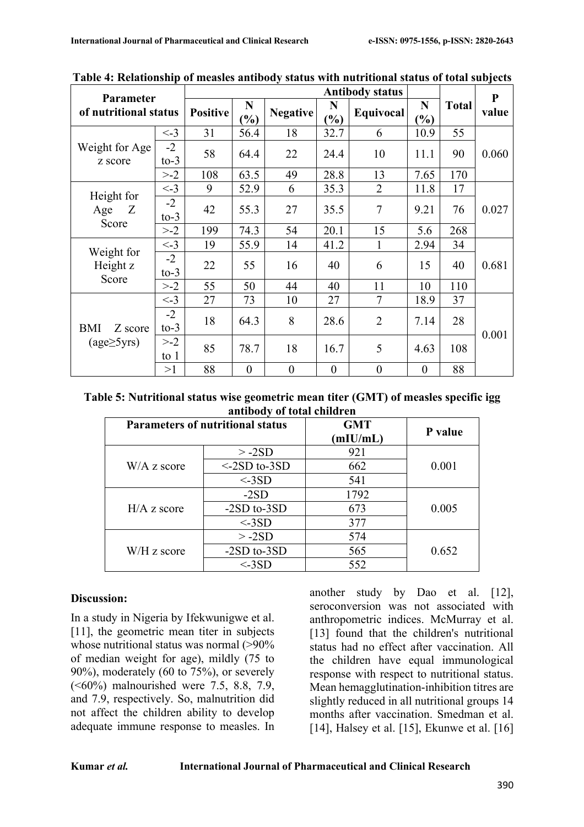| <b>Parameter</b><br>of nutritional status |                | <b>Antibody status</b> |                                  |                  |                  |                  |                  |              | ${\bf P}$ |
|-------------------------------------------|----------------|------------------------|----------------------------------|------------------|------------------|------------------|------------------|--------------|-----------|
|                                           |                | <b>Positive</b>        | N<br>$\mathcal{O}'_{\mathbf{0}}$ | <b>Negative</b>  | N<br>$\%$        | Equivocal        | N<br>$\%$        | <b>Total</b> | value     |
| Weight for Age<br>z score                 | $\lt$ -3       | 31                     | 56.4                             | 18               | 32.7             | 6                | 10.9             | 55           |           |
|                                           | $-2$<br>$to-3$ | 58                     | 64.4                             | 22               | 24.4             | 10               | 11.1             | 90           | 0.060     |
|                                           | $> -2$         | 108                    | 63.5                             | 49               | 28.8             | 13               | 7.65             | 170          |           |
|                                           | $\lt$ -3       | 9                      | 52.9                             | 6                | 35.3             | $\overline{2}$   | 11.8             | 17           |           |
| Height for<br>Z<br>Age                    | $-2$<br>$to-3$ | 42                     | 55.3                             | 27               | 35.5             | $\tau$           | 9.21             | 76           | 0.027     |
| Score                                     | $> -2$         | 199                    | 74.3                             | 54               | 20.1             | 15               | 5.6              | 268          |           |
|                                           | $\lt$ -3       | 19                     | 55.9                             | 14               | 41.2             |                  | 2.94             | 34           |           |
| Weight for<br>Height z<br>Score           | $-2$<br>$to-3$ | 22                     | 55                               | 16               | 40               | 6                | 15               | 40           | 0.681     |
|                                           | $> -2$         | 55                     | 50                               | 44               | 40               | 11               | 10               | 110          |           |
| BMI<br>Z score<br>$(age\geq 5yrs)$        | $\lt$ -3       | 27                     | 73                               | 10               | 27               | 7                | 18.9             | 37           |           |
|                                           | $-2$<br>$to-3$ | 18                     | 64.3                             | 8                | 28.6             | $\overline{2}$   | 7.14             | 28           |           |
|                                           | $> -2$<br>to 1 | 85                     | 78.7                             | 18               | 16.7             | 5                | 4.63             | 108          | 0.001     |
|                                           | >1             | 88                     | $\boldsymbol{0}$                 | $\boldsymbol{0}$ | $\boldsymbol{0}$ | $\boldsymbol{0}$ | $\boldsymbol{0}$ | 88           |           |

**Table 4: Relationship of measles antibody status with nutritional status of total subjects**

**Table 5: Nutritional status wise geometric mean titer (GMT) of measles specific igg antibody of total children**

|               | <b>Parameters of nutritional status</b> | <b>GMT</b><br>(mIU/mL) | P value |
|---------------|-----------------------------------------|------------------------|---------|
|               | $> -2SD$                                | 921                    |         |
| $W/A$ z score | $\leq$ -2SD to-3SD                      | 662                    | 0.001   |
|               | $<$ -3SD                                | 541                    |         |
| $H/A$ z score | $-2SD$                                  | 1792                   |         |
|               | $-2SD$ to- $3SD$                        | 673                    | 0.005   |
|               | $<$ -3SD                                | 377                    |         |
| W/H z score   | $> -2SD$                                | 574                    |         |
|               | $-2SD$ to- $3SD$                        | 565                    | 0.652   |
|               | $<$ -3SD                                | 552                    |         |

#### **Discussion:**

In a study in Nigeria by Ifekwunigwe et al. [11], the geometric mean titer in subjects whose nutritional status was normal (>90% of median weight for age), mildly (75 to 90%), moderately (60 to 75%), or severely (<60%) malnourished were 7.5, 8.8, 7.9, and 7.9, respectively. So, malnutrition did not affect the children ability to develop adequate immune response to measles. In another study by Dao et al. [12], seroconversion was not associated with anthropometric indices. McMurray et al. [13] found that the children's nutritional status had no effect after vaccination. All the children have equal immunological response with respect to nutritional status. Mean hemagglutination-inhibition titres are slightly reduced in all nutritional groups 14 months after vaccination. Smedman et al. [14], Halsey et al. [15], Ekunwe et al. [16]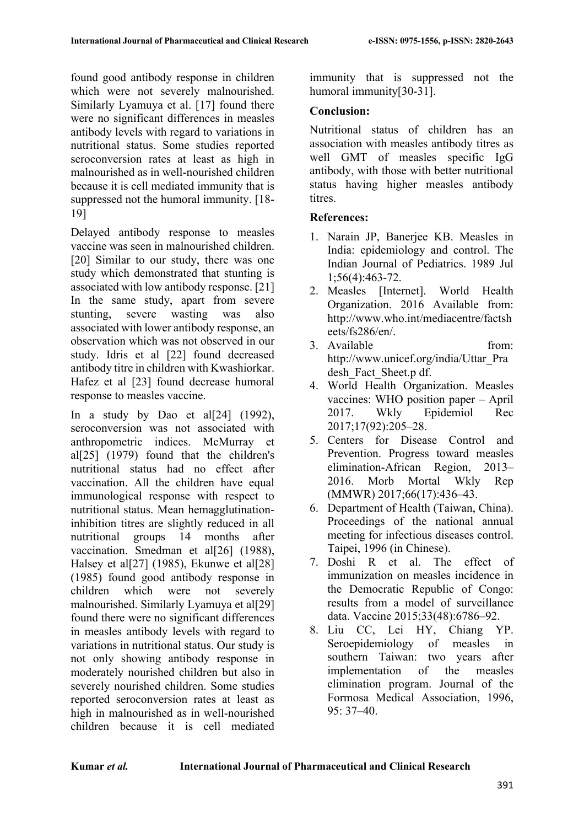found good antibody response in children which were not severely malnourished. Similarly Lyamuya et al. [17] found there were no significant differences in measles antibody levels with regard to variations in nutritional status. Some studies reported seroconversion rates at least as high in malnourished as in well-nourished children because it is cell mediated immunity that is suppressed not the humoral immunity. [18- 19]

Delayed antibody response to measles vaccine was seen in malnourished children. [20] Similar to our study, there was one study which demonstrated that stunting is associated with low antibody response. [21] In the same study, apart from severe stunting, severe wasting was also associated with lower antibody response, an observation which was not observed in our study. Idris et al [22] found decreased antibody titre in children with Kwashiorkar. Hafez et al [23] found decrease humoral response to measles vaccine.

In a study by Dao et al $[24]$  (1992), seroconversion was not associated with anthropometric indices. McMurray et al[25] (1979) found that the children's nutritional status had no effect after vaccination. All the children have equal immunological response with respect to nutritional status. Mean hemagglutinationinhibition titres are slightly reduced in all nutritional groups 14 months after vaccination. Smedman et al[26] (1988), Halsey et al<sup>[27]</sup> (1985), Ekunwe et al<sup>[28]</sup> (1985) found good antibody response in children which were not severely malnourished. Similarly Lyamuya et al[29] found there were no significant differences in measles antibody levels with regard to variations in nutritional status. Our study is not only showing antibody response in moderately nourished children but also in severely nourished children. Some studies reported seroconversion rates at least as high in malnourished as in well-nourished children because it is cell mediated

immunity that is suppressed not the humoral immunity[30-31].

#### **Conclusion:**

Nutritional status of children has an association with measles antibody titres as well GMT of measles specific IgG antibody, with those with better nutritional status having higher measles antibody titres.

### **References:**

- 1. Narain JP, Banerjee KB. Measles in India: epidemiology and control. The Indian Journal of Pediatrics. 1989 Jul 1;56(4):463-72.
- 2. Measles [Internet]. World Health Organization. 2016 Available from: http://www.who.int/mediacentre/factsh eets/fs286/en/.
- 3. Available from: http://www.unicef.org/india/Uttar\_Pra desh Fact Sheet.p df.
- 4. World Health Organization. Measles vaccines: WHO position paper – April 2017. Wkly Epidemiol Rec 2017;17(92):205–28.
- 5. Centers for Disease Control and Prevention. Progress toward measles elimination-African Region, 2013– 2016. Morb Mortal Wkly Rep (MMWR) 2017;66(17):436–43.
- 6. Department of Health (Taiwan, China). Proceedings of the national annual meeting for infectious diseases control. Taipei, 1996 (in Chinese).
- 7. Doshi R et al. The effect of immunization on measles incidence in the Democratic Republic of Congo: results from a model of surveillance data. Vaccine 2015;33(48):6786–92.
- 8. Liu CC, Lei HY, Chiang YP. Seroepidemiology of measles in southern Taiwan: two years after implementation of the measles elimination program. Journal of the Formosa Medical Association, 1996, 95: 37–40.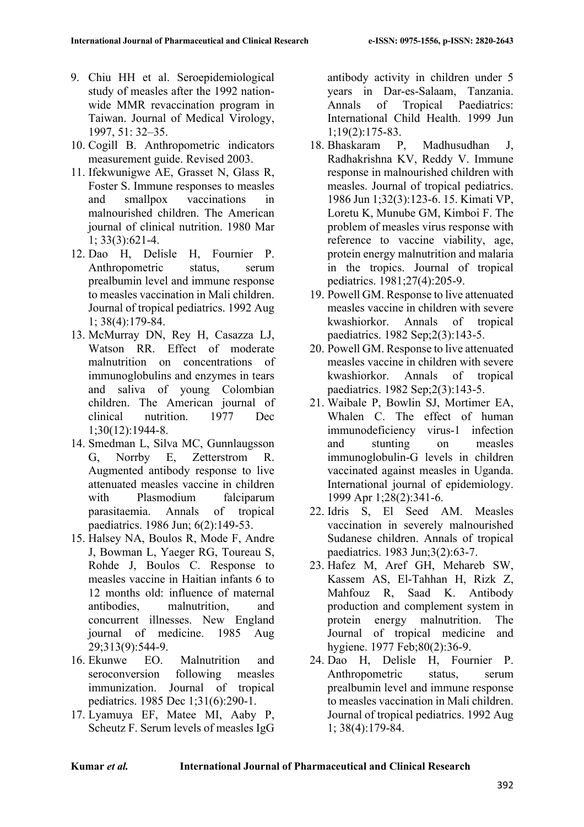- 9. Chiu HH et al. Seroepidemiological study of measles after the 1992 nationwide MMR revaccination program in Taiwan. Journal of Medical Virology, 1997, 51: 32–35.
- 10. Cogill B. Anthropometric indicators measurement guide. Revised 2003.
- 11. Ifekwunigwe AE, Grasset N, Glass R, Foster S. Immune responses to measles and smallpox vaccinations in malnourished children. The American journal of clinical nutrition. 1980 Mar 1; 33(3):621-4.
- 12. Dao H, Delisle H, Fournier P. Anthropometric status, serum prealbumin level and immune response to measles vaccination in Mali children. Journal of tropical pediatrics. 1992 Aug 1; 38(4):179-84.
- 13. McMurray DN, Rey H, Casazza LJ, Watson RR. Effect of moderate malnutrition on concentrations of immunoglobulins and enzymes in tears and saliva of young Colombian children. The American journal of clinical nutrition. 1977 Dec 1;30(12):1944-8.
- 14. Smedman L, Silva MC, Gunnlaugsson G, Norrby E, Zetterstrom R. Augmented antibody response to live attenuated measles vaccine in children with Plasmodium falciparum parasitaemia. Annals of tropical paediatrics. 1986 Jun; 6(2):149-53.
- 15. Halsey NA, Boulos R, Mode F, Andre J, Bowman L, Yaeger RG, Toureau S, Rohde J, Boulos C. Response to measles vaccine in Haitian infants 6 to 12 months old: influence of maternal antibodies, malnutrition, and concurrent illnesses. New England journal of medicine. 1985 Aug 29;313(9):544-9.
- 16. Ekunwe EO. Malnutrition and seroconversion following measles immunization. Journal of tropical pediatrics. 1985 Dec 1;31(6):290-1.
- 17. Lyamuya EF, Matee MI, Aaby P, Scheutz F. Serum levels of measles IgG

antibody activity in children under 5 years in Dar-es-Salaam, Tanzania. Annals of Tropical Paediatrics: International Child Health. 1999 Jun 1;19(2):175-83.

- 18. Bhaskaram P, Madhusudhan J, Radhakrishna KV, Reddy V. Immune response in malnourished children with measles. Journal of tropical pediatrics. 1986 Jun 1;32(3):123-6. 15. Kimati VP, Loretu K, Munube GM, Kimboi F. The problem of measles virus response with reference to vaccine viability, age, protein energy malnutrition and malaria in the tropics. Journal of tropical pediatrics. 1981;27(4):205-9.
- 19. Powell GM. Response to live attenuated measles vaccine in children with severe kwashiorkor. Annals of tropical paediatrics. 1982 Sep;2(3):143-5.
- 20. Powell GM. Response to live attenuated measles vaccine in children with severe kwashiorkor. Annals of tropical paediatrics. 1982 Sep;2(3):143-5.
- 21. Waibale P, Bowlin SJ, Mortimer EA, Whalen C. The effect of human immunodeficiency virus-1 infection and stunting on measles immunoglobulin-G levels in children vaccinated against measles in Uganda. International journal of epidemiology. 1999 Apr 1;28(2):341-6.
- 22. Idris S, El Seed AM. Measles vaccination in severely malnourished Sudanese children. Annals of tropical paediatrics. 1983 Jun;3(2):63-7.
- 23. Hafez M, Aref GH, Mehareb SW, Kassem AS, El-Tahhan H, Rizk Z, Mahfouz R, Saad K. Antibody production and complement system in protein energy malnutrition. The Journal of tropical medicine and hygiene. 1977 Feb;80(2):36-9.
- 24. Dao H, Delisle H, Fournier P. Anthropometric status, serum prealbumin level and immune response to measles vaccination in Mali children. Journal of tropical pediatrics. 1992 Aug 1; 38(4):179-84.